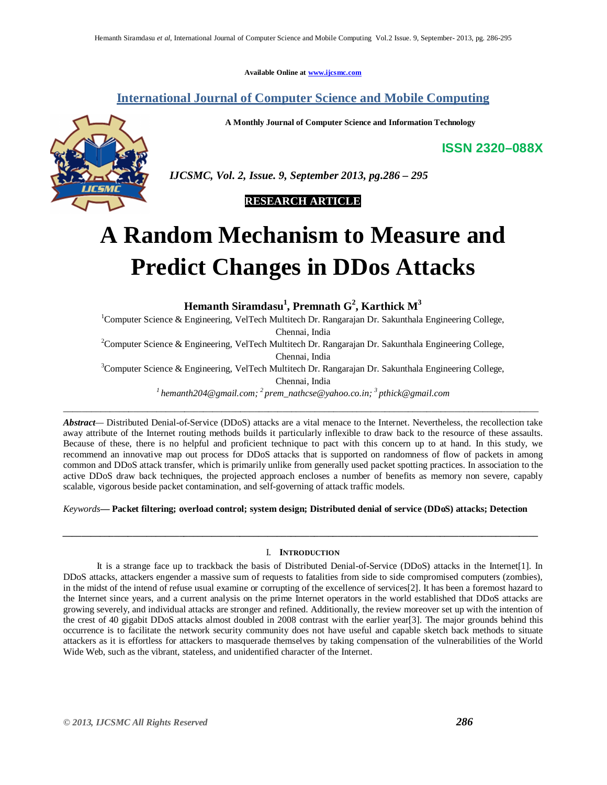**Available Online at www.ijcsmc.com**

# **International Journal of Computer Science and Mobile Computing**

**A Monthly Journal of Computer Science and Information Technology**



 *IJCSMC, Vol. 2, Issue. 9, September 2013, pg.286 – 295*



# **A Random Mechanism to Measure and Predict Changes in DDos Attacks**

**Hemanth Siramdasu<sup>1</sup> , Premnath G<sup>2</sup> , Karthick M<sup>3</sup>**

<sup>1</sup>Computer Science & Engineering, VelTech Multitech Dr. Rangarajan Dr. Sakunthala Engineering College, Chennai, India

<sup>2</sup>Computer Science & Engineering, VelTech Multitech Dr. Rangarajan Dr. Sakunthala Engineering College,

Chennai, India

<sup>3</sup>Computer Science & Engineering, VelTech Multitech Dr. Rangarajan Dr. Sakunthala Engineering College,

Chennai, India

*<sup>1</sup>hemanth204@gmail.com; <sup>2</sup>prem\_nathcse@yahoo.co.in; <sup>3</sup>pthick@gmail.com* \_\_\_\_\_\_\_\_\_\_\_\_\_\_\_\_\_\_\_\_\_\_\_\_\_\_\_\_\_\_\_\_\_\_\_\_\_\_\_\_\_\_\_\_\_\_\_\_\_\_\_\_\_\_\_\_\_\_\_\_\_\_\_\_\_\_\_\_\_\_\_\_\_\_\_\_\_\_\_\_\_\_\_\_\_\_\_\_\_\_\_\_\_\_\_\_\_\_\_\_\_\_

*Abstract—* Distributed Denial-of-Service (DDoS) attacks are a vital menace to the Internet. Nevertheless, the recollection take away attribute of the Internet routing methods builds it particularly inflexible to draw back to the resource of these assaults. Because of these, there is no helpful and proficient technique to pact with this concern up to at hand. In this study, we recommend an innovative map out process for DDoS attacks that is supported on randomness of flow of packets in among common and DDoS attack transfer, which is primarily unlike from generally used packet spotting practices. In association to the active DDoS draw back techniques, the projected approach encloses a number of benefits as memory non severe, capably scalable, vigorous beside packet contamination, and self-governing of attack traffic models.

*Keywords***— Packet filtering; overload control; system design; Distributed denial of service (DDoS) attacks; Detection**

# I. **INTRODUCTION**

*\_\_\_\_\_\_\_\_\_\_\_\_\_\_\_\_\_\_\_\_\_\_\_\_\_\_\_\_\_\_\_\_\_\_\_\_\_\_\_\_\_\_\_\_\_\_\_\_\_\_\_\_\_\_\_\_\_\_\_\_\_\_\_\_\_\_\_\_\_\_\_\_\_\_\_\_\_\_\_\_\_\_\_\_\_\_\_\_\_\_\_\_\_\_\_\_\_\_\_\_\_\_*

It is a strange face up to trackback the basis of Distributed Denial-of-Service (DDoS) attacks in the Internet[1]. In DDoS attacks, attackers engender a massive sum of requests to fatalities from side to side compromised computers (zombies), in the midst of the intend of refuse usual examine or corrupting of the excellence of services[2]. It has been a foremost hazard to the Internet since years, and a current analysis on the prime Internet operators in the world established that DDoS attacks are growing severely, and individual attacks are stronger and refined. Additionally, the review moreover set up with the intention of the crest of 40 gigabit DDoS attacks almost doubled in 2008 contrast with the earlier year[3]. The major grounds behind this occurrence is to facilitate the network security community does not have useful and capable sketch back methods to situate attackers as it is effortless for attackers to masquerade themselves by taking compensation of the vulnerabilities of the World Wide Web, such as the vibrant, stateless, and unidentified character of the Internet.

**ISSN 2320–088X**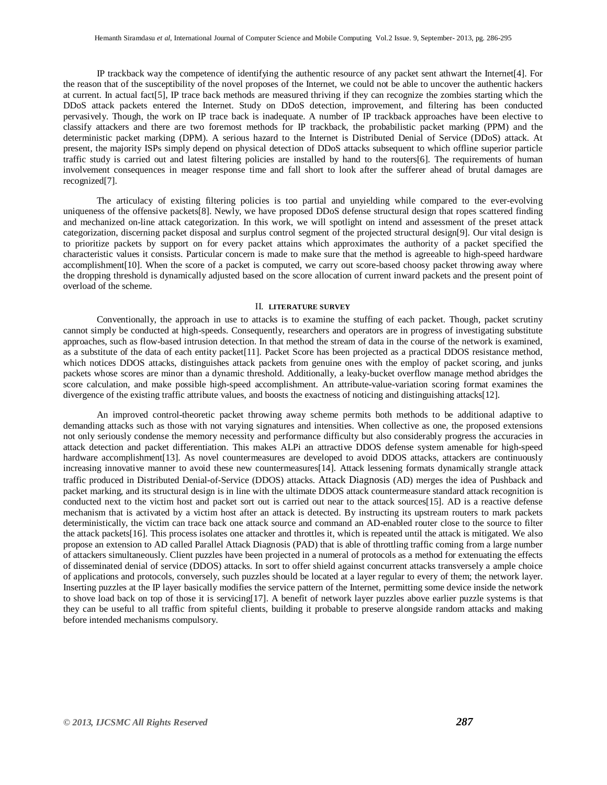IP trackback way the competence of identifying the authentic resource of any packet sent athwart the Internet[4]. For the reason that of the susceptibility of the novel proposes of the Internet, we could not be able to uncover the authentic hackers at current. In actual fact[5], IP trace back methods are measured thriving if they can recognize the zombies starting which the DDoS attack packets entered the Internet. Study on DDoS detection, improvement, and filtering has been conducted pervasively. Though, the work on IP trace back is inadequate. A number of IP trackback approaches have been elective to classify attackers and there are two foremost methods for IP trackback, the probabilistic packet marking (PPM) and the deterministic packet marking (DPM). A serious hazard to the Internet is Distributed Denial of Service (DDoS) attack. At present, the majority ISPs simply depend on physical detection of DDoS attacks subsequent to which offline superior particle traffic study is carried out and latest filtering policies are installed by hand to the routers[6]. The requirements of human involvement consequences in meager response time and fall short to look after the sufferer ahead of brutal damages are recognized[7].

The articulacy of existing filtering policies is too partial and unyielding while compared to the ever-evolving uniqueness of the offensive packets[8]. Newly, we have proposed DDoS defense structural design that ropes scattered finding and mechanized on-line attack categorization. In this work, we will spotlight on intend and assessment of the preset attack categorization, discerning packet disposal and surplus control segment of the projected structural design[9]. Our vital design is to prioritize packets by support on for every packet attains which approximates the authority of a packet specified the characteristic values it consists. Particular concern is made to make sure that the method is agreeable to high-speed hardware accomplishment[10]. When the score of a packet is computed, we carry out score-based choosy packet throwing away where the dropping threshold is dynamically adjusted based on the score allocation of current inward packets and the present point of overload of the scheme.

#### II. **LITERATURE SURVEY**

Conventionally, the approach in use to attacks is to examine the stuffing of each packet. Though, packet scrutiny cannot simply be conducted at high-speeds. Consequently, researchers and operators are in progress of investigating substitute approaches, such as flow-based intrusion detection. In that method the stream of data in the course of the network is examined, as a substitute of the data of each entity packet[11]. Packet Score has been projected as a practical DDOS resistance method, which notices DDOS attacks, distinguishes attack packets from genuine ones with the employ of packet scoring, and junks packets whose scores are minor than a dynamic threshold. Additionally, a leaky-bucket overflow manage method abridges the score calculation, and make possible high-speed accomplishment. An attribute-value-variation scoring format examines the divergence of the existing traffic attribute values, and boosts the exactness of noticing and distinguishing attacks[12].

An improved control-theoretic packet throwing away scheme permits both methods to be additional adaptive to demanding attacks such as those with not varying signatures and intensities. When collective as one, the proposed extensions not only seriously condense the memory necessity and performance difficulty but also considerably progress the accuracies in attack detection and packet differentiation. This makes ALPi an attractive DDOS defense system amenable for high-speed hardware accomplishment [13]. As novel countermeasures are developed to avoid DDOS attacks, attackers are continuously increasing innovative manner to avoid these new countermeasures[14]. Attack lessening formats dynamically strangle attack traffic produced in Distributed Denial-of-Service (DDOS) attacks. Attack Diagnosis (AD) merges the idea of Pushback and packet marking, and its structural design is in line with the ultimate DDOS attack countermeasure standard attack recognition is conducted next to the victim host and packet sort out is carried out near to the attack sources[15]. AD is a reactive defense mechanism that is activated by a victim host after an attack is detected. By instructing its upstream routers to mark packets deterministically, the victim can trace back one attack source and command an AD-enabled router close to the source to filter the attack packets[16]. This process isolates one attacker and throttles it, which is repeated until the attack is mitigated. We also propose an extension to AD called Parallel Attack Diagnosis (PAD) that is able of throttling traffic coming from a large number of attackers simultaneously. Client puzzles have been projected in a numeral of protocols as a method for extenuating the effects of disseminated denial of service (DDOS) attacks. In sort to offer shield against concurrent attacks transversely a ample choice of applications and protocols, conversely, such puzzles should be located at a layer regular to every of them; the network layer. Inserting puzzles at the IP layer basically modifies the service pattern of the Internet, permitting some device inside the network to shove load back on top of those it is servicing[17]. A benefit of network layer puzzles above earlier puzzle systems is that they can be useful to all traffic from spiteful clients, building it probable to preserve alongside random attacks and making before intended mechanisms compulsory.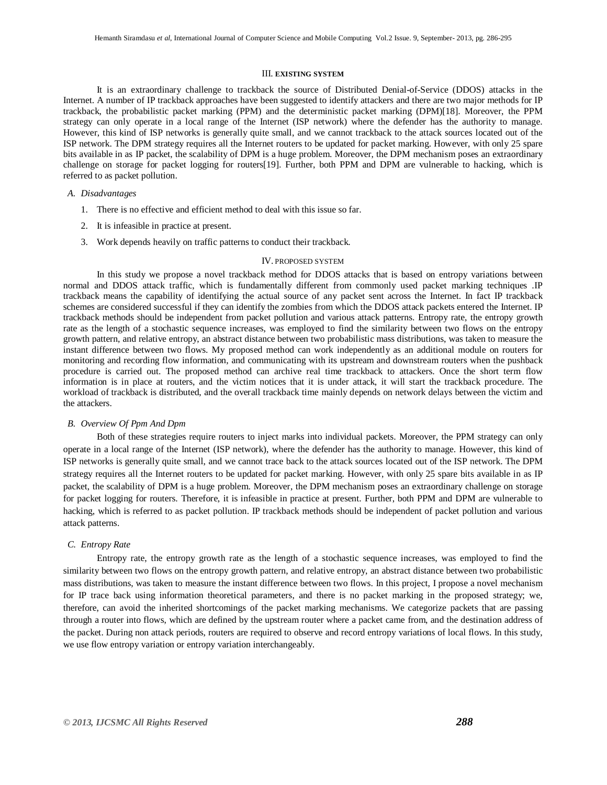#### III. **EXISTING SYSTEM**

It is an extraordinary challenge to trackback the source of Distributed Denial-of-Service (DDOS) attacks in the Internet. A number of IP trackback approaches have been suggested to identify attackers and there are two major methods for IP trackback, the probabilistic packet marking (PPM) and the deterministic packet marking (DPM)[18]. Moreover, the PPM strategy can only operate in a local range of the Internet (ISP network) where the defender has the authority to manage. However, this kind of ISP networks is generally quite small, and we cannot trackback to the attack sources located out of the ISP network. The DPM strategy requires all the Internet routers to be updated for packet marking. However, with only 25 spare bits available in as IP packet, the scalability of DPM is a huge problem. Moreover, the DPM mechanism poses an extraordinary challenge on storage for packet logging for routers[19]. Further, both PPM and DPM are vulnerable to hacking, which is referred to as packet pollution.

#### *A. Disadvantages*

- 1. There is no effective and efficient method to deal with this issue so far.
- 2. It is infeasible in practice at present.
- 3. Work depends heavily on traffic patterns to conduct their trackback.

#### IV. PROPOSED SYSTEM

In this study we propose a novel trackback method for DDOS attacks that is based on entropy variations between normal and DDOS attack traffic, which is fundamentally different from commonly used packet marking techniques .IP trackback means the capability of identifying the actual source of any packet sent across the Internet. In fact IP trackback schemes are considered successful if they can identify the zombies from which the DDOS attack packets entered the Internet. IP trackback methods should be independent from packet pollution and various attack patterns. Entropy rate, the entropy growth rate as the length of a stochastic sequence increases, was employed to find the similarity between two flows on the entropy growth pattern, and relative entropy, an abstract distance between two probabilistic mass distributions, was taken to measure the instant difference between two flows. My proposed method can work independently as an additional module on routers for monitoring and recording flow information, and communicating with its upstream and downstream routers when the pushback procedure is carried out. The proposed method can archive real time trackback to attackers. Once the short term flow information is in place at routers, and the victim notices that it is under attack, it will start the trackback procedure. The workload of trackback is distributed, and the overall trackback time mainly depends on network delays between the victim and the attackers.

# *B. Overview Of Ppm And Dpm*

Both of these strategies require routers to inject marks into individual packets. Moreover, the PPM strategy can only operate in a local range of the Internet (ISP network), where the defender has the authority to manage. However, this kind of ISP networks is generally quite small, and we cannot trace back to the attack sources located out of the ISP network. The DPM strategy requires all the Internet routers to be updated for packet marking. However, with only 25 spare bits available in as IP packet, the scalability of DPM is a huge problem. Moreover, the DPM mechanism poses an extraordinary challenge on storage for packet logging for routers. Therefore, it is infeasible in practice at present. Further, both PPM and DPM are vulnerable to hacking, which is referred to as packet pollution. IP trackback methods should be independent of packet pollution and various attack patterns.

#### *C. Entropy Rate*

Entropy rate, the entropy growth rate as the length of a stochastic sequence increases, was employed to find the similarity between two flows on the entropy growth pattern, and relative entropy, an abstract distance between two probabilistic mass distributions, was taken to measure the instant difference between two flows. In this project, I propose a novel mechanism for IP trace back using information theoretical parameters, and there is no packet marking in the proposed strategy; we, therefore, can avoid the inherited shortcomings of the packet marking mechanisms. We categorize packets that are passing through a router into flows, which are defined by the upstream router where a packet came from, and the destination address of the packet. During non attack periods, routers are required to observe and record entropy variations of local flows. In this study, we use flow entropy variation or entropy variation interchangeably.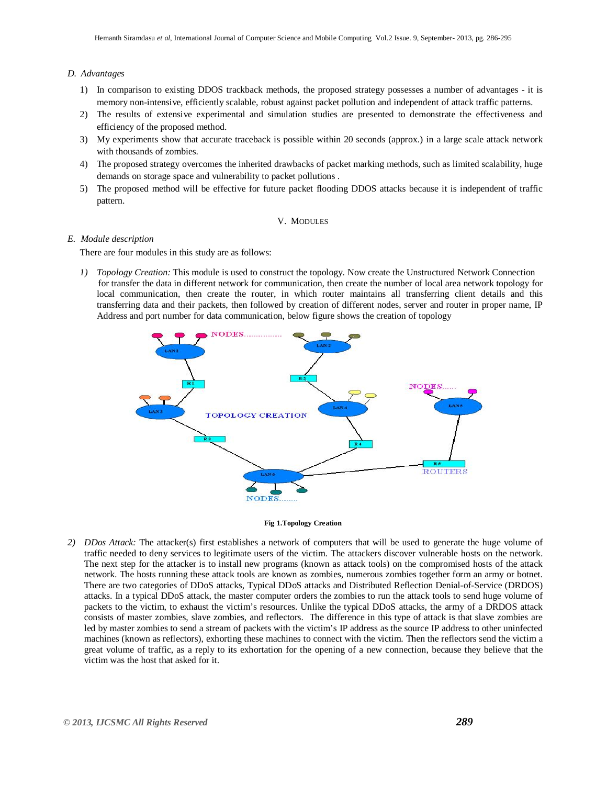# *D. Advantages*

- 1) In comparison to existing DDOS trackback methods, the proposed strategy possesses a number of advantages it is memory non-intensive, efficiently scalable, robust against packet pollution and independent of attack traffic patterns.
- 2) The results of extensive experimental and simulation studies are presented to demonstrate the effectiveness and efficiency of the proposed method.
- 3) My experiments show that accurate traceback is possible within 20 seconds (approx.) in a large scale attack network with thousands of zombies.
- 4) The proposed strategy overcomes the inherited drawbacks of packet marking methods, such as limited scalability, huge demands on storage space and vulnerability to packet pollutions .
- 5) The proposed method will be effective for future packet flooding DDOS attacks because it is independent of traffic pattern.

# V. MODULES

# *E. Module description*

There are four modules in this study are as follows:

*1) Topology Creation:* This module is used to construct the topology. Now create the Unstructured Network Connection for transfer the data in different network for communication, then create the number of local area network topology for local communication, then create the router, in which router maintains all transferring client details and this transferring data and their packets, then followed by creation of different nodes, server and router in proper name, IP Address and port number for data communication, below figure shows the creation of topology



#### **Fig 1.Topology Creation**

*2) DDos Attack:* The attacker(s) first establishes a network of computers that will be used to generate the huge volume of traffic needed to deny services to legitimate users of the victim. The attackers discover vulnerable hosts on the network. The next step for the attacker is to install new programs (known as attack tools) on the compromised hosts of the attack network. The hosts running these attack tools are known as zombies, numerous zombies together form an army or botnet. There are two categories of DDoS attacks, Typical DDoS attacks and Distributed Reflection Denial-of-Service (DRDOS) attacks. In a typical DDoS attack, the master computer orders the zombies to run the attack tools to send huge volume of packets to the victim, to exhaust the victim's resources. Unlike the typical DDoS attacks, the army of a DRDOS attack consists of master zombies, slave zombies, and reflectors. The difference in this type of attack is that slave zombies are led by master zombies to send a stream of packets with the victim's IP address as the source IP address to other uninfected machines (known as reflectors), exhorting these machines to connect with the victim. Then the reflectors send the victim a great volume of traffic, as a reply to its exhortation for the opening of a new connection, because they believe that the victim was the host that asked for it.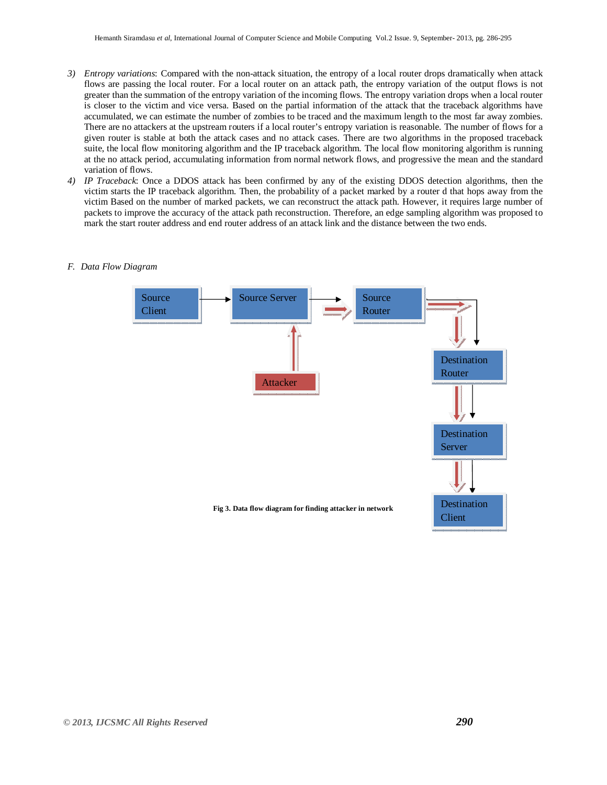- *3) Entropy variations*: Compared with the non-attack situation, the entropy of a local router drops dramatically when attack flows are passing the local router. For a local router on an attack path, the entropy variation of the output flows is not greater than the summation of the entropy variation of the incoming flows. The entropy variation drops when a local router is closer to the victim and vice versa. Based on the partial information of the attack that the traceback algorithms have accumulated, we can estimate the number of zombies to be traced and the maximum length to the most far away zombies. There are no attackers at the upstream routers if a local router's entropy variation is reasonable. The number of flows for a given router is stable at both the attack cases and no attack cases. There are two algorithms in the proposed traceback suite, the local flow monitoring algorithm and the IP traceback algorithm. The local flow monitoring algorithm is running at the no attack period, accumulating information from normal network flows, and progressive the mean and the standard variation of flows.
- *4) IP Traceback*: Once a DDOS attack has been confirmed by any of the existing DDOS detection algorithms, then the victim starts the IP traceback algorithm. Then, the probability of a packet marked by a router d that hops away from the victim Based on the number of marked packets, we can reconstruct the attack path. However, it requires large number of packets to improve the accuracy of the attack path reconstruction. Therefore, an edge sampling algorithm was proposed to mark the start router address and end router address of an attack link and the distance between the two ends.
	- **Fig 3. Data flow diagram for finding attacker in network** Attacker Source Router Destination Server Destination Router Destination Client Source Client Source Server

#### *F. Data Flow Diagram*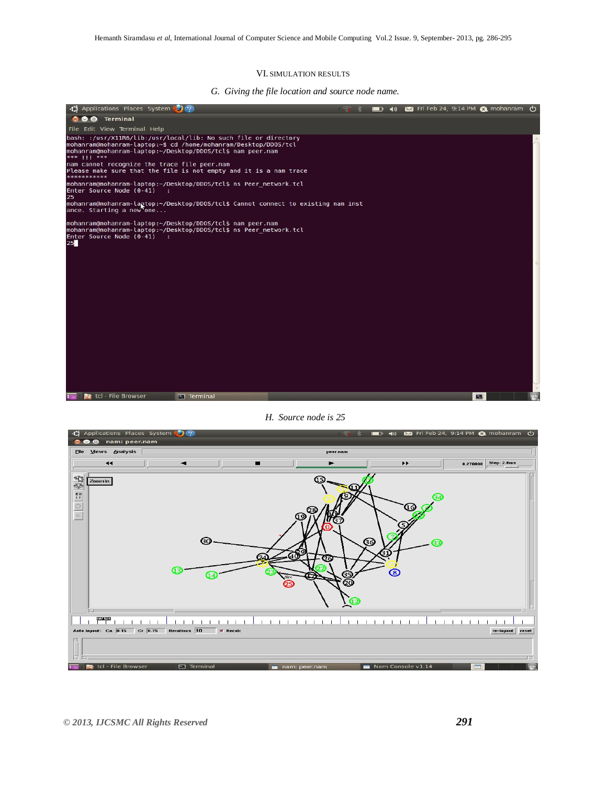#### VI. SIMULATION RESULTS

*G. Giving the file location and source node name.*



# *H. Source node is 25*

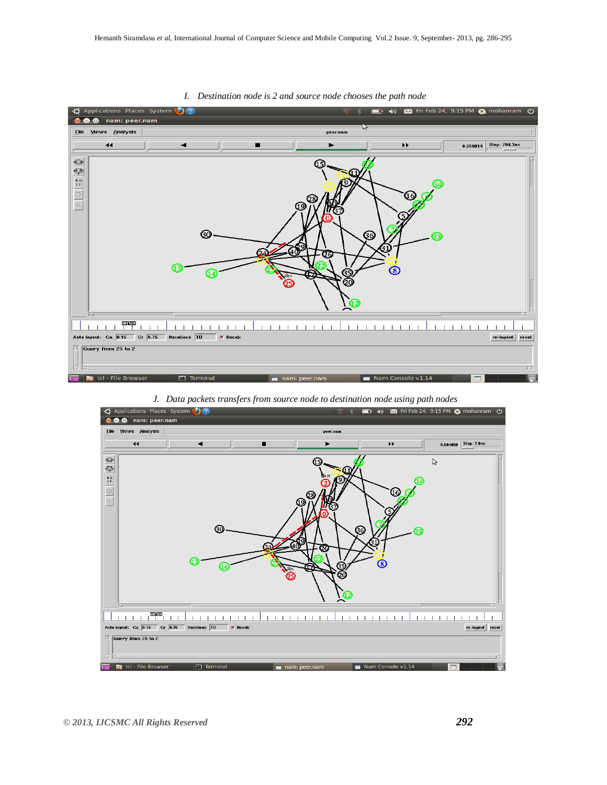

*I. Destination node is 2 and source node chooses the path node*

*J. Data packets transfers from source node to destination node using path nodes*

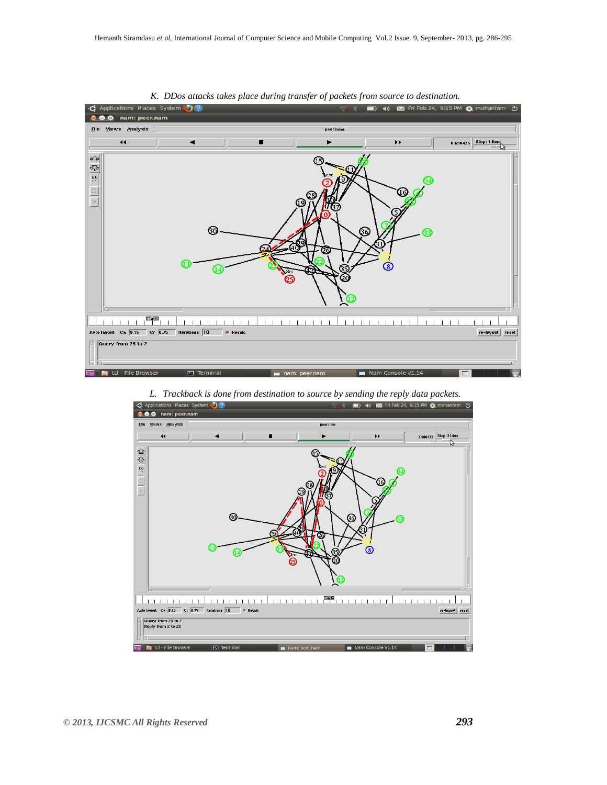

*K. DDos attacks takes place during transfer of packets from source to destination.*



*L. Trackback is done from destination to source by sending the reply data packets.*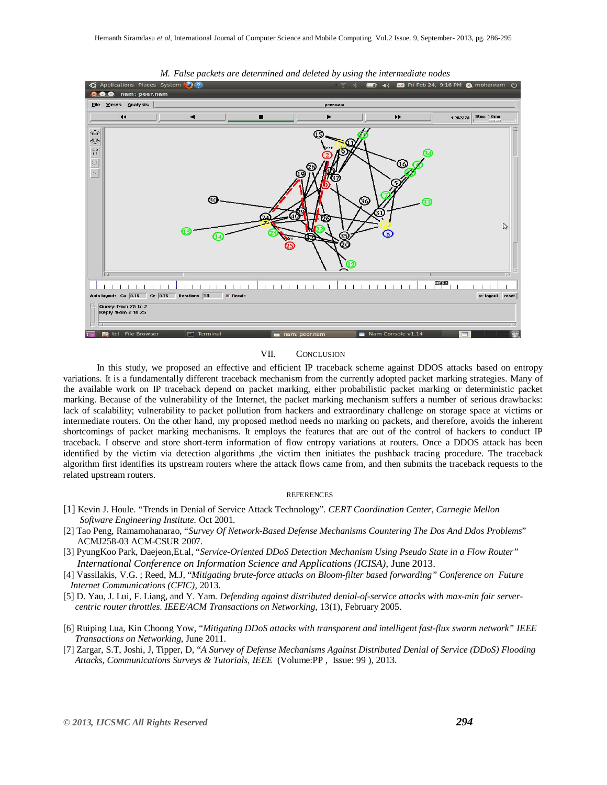

*M. False packets are determined and deleted by using the intermediate nodes*

### VII. CONCLUSION

In this study, we proposed an effective and efficient IP traceback scheme against DDOS attacks based on entropy variations. It is a fundamentally different traceback mechanism from the currently adopted packet marking strategies. Many of the available work on IP traceback depend on packet marking, either probabilistic packet marking or deterministic packet marking. Because of the vulnerability of the Internet, the packet marking mechanism suffers a number of serious drawbacks: lack of scalability; vulnerability to packet pollution from hackers and extraordinary challenge on storage space at victims or intermediate routers. On the other hand, my proposed method needs no marking on packets, and therefore, avoids the inherent shortcomings of packet marking mechanisms. It employs the features that are out of the control of hackers to conduct IP traceback. I observe and store short-term information of flow entropy variations at routers. Once a DDOS attack has been identified by the victim via detection algorithms ,the victim then initiates the pushback tracing procedure. The traceback algorithm first identifies its upstream routers where the attack flows came from, and then submits the traceback requests to the related upstream routers.

#### **REFERENCES**

- [1] Kevin J. Houle. "Trends in Denial of Service Attack Technology". *CERT Coordination Center, Carnegie Mellon Software Engineering Institute.* Oct 2001.
- [2] Tao Peng, Ramamohanarao, "*Survey Of Network-Based Defense Mechanisms Countering The Dos And Ddos Problems*" ACMJ258-03 ACM-CSUR 2007.
- [3] PyungKoo Park, Daejeon,Et.al, "*Service-Oriented DDoS Detection Mechanism Using Pseudo State in a Flow Router" International Conference on Information Science and Applications (ICISA)*, June 2013.
- [4] Vassilakis, V.G. ; Reed, M.J, "*Mitigating brute-force attacks on Bloom-filter based forwarding" Conference on Future Internet Communications (CFIC)*, 2013.
- [5] D. Yau, J. Lui, F. Liang, and Y. Yam. *Defending against distributed denial-of-service attacks with max-min fair server centric router throttles*. *IEEE/ACM Transactions on Networking*, 13(1), February 2005.
- [6] Ruiping Lua, Kin Choong Yow, "*Mitigating DDoS attacks with transparent and intelligent fast-flux swarm network" IEEE Transactions on Networking,* June 2011.
- [7] Zargar, S.T, Joshi, J, Tipper, D, "*A Survey of Defense Mechanisms Against Distributed Denial of Service (DDoS) Flooding Attacks, Communications Surveys & Tutorials, IEEE* (Volume:PP , Issue: 99 ), 2013.